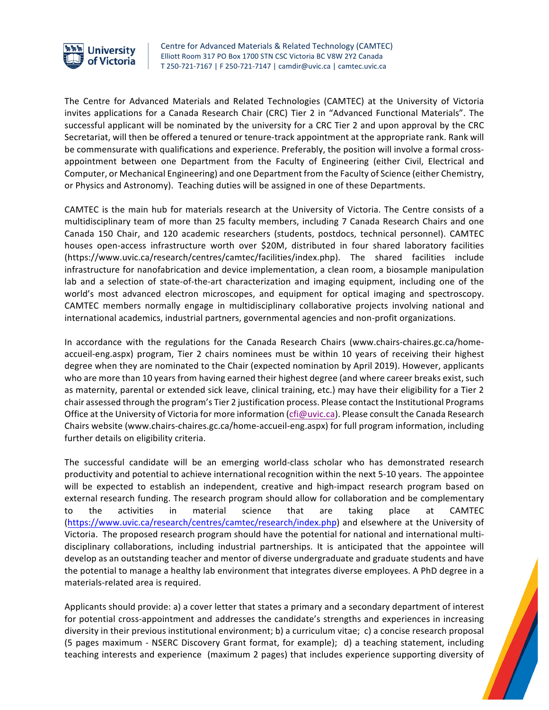

Centre for Advanced Materials & Related Technology (CAMTEC) Elliott Room 317 PO Box 1700 STN CSC Victoria BC V8W 2Y2 Canada T 250-721-7167 | F 250-721-7147 | camdir@uvic.ca | camtec.uvic.ca

The Centre for Advanced Materials and Related Technologies (CAMTEC) at the University of Victoria invites applications for a Canada Research Chair (CRC) Tier 2 in "Advanced Functional Materials". The successful applicant will be nominated by the university for a CRC Tier 2 and upon approval by the CRC Secretariat, will then be offered a tenured or tenure-track appointment at the appropriate rank. Rank will be commensurate with qualifications and experience. Preferably, the position will involve a formal crossappointment between one Department from the Faculty of Engineering (either Civil, Electrical and Computer, or Mechanical Engineering) and one Department from the Faculty of Science (either Chemistry, or Physics and Astronomy). Teaching duties will be assigned in one of these Departments.

CAMTEC is the main hub for materials research at the University of Victoria. The Centre consists of a multidisciplinary team of more than 25 faculty members, including 7 Canada Research Chairs and one Canada 150 Chair, and 120 academic researchers (students, postdocs, technical personnel). CAMTEC houses open-access infrastructure worth over \$20M, distributed in four shared laboratory facilities (https://www.uvic.ca/research/centres/camtec/facilities/index.php). The shared facilities include infrastructure for nanofabrication and device implementation, a clean room, a biosample manipulation lab and a selection of state-of-the-art characterization and imaging equipment, including one of the world's most advanced electron microscopes, and equipment for optical imaging and spectroscopy. CAMTEC members normally engage in multidisciplinary collaborative projects involving national and international academics, industrial partners, governmental agencies and non-profit organizations.

In accordance with the regulations for the Canada Research Chairs (www.chairs-chaires.gc.ca/homeaccueil-eng.aspx) program, Tier 2 chairs nominees must be within 10 years of receiving their highest degree when they are nominated to the Chair (expected nomination by April 2019). However, applicants who are more than 10 years from having earned their highest degree (and where career breaks exist, such as maternity, parental or extended sick leave, clinical training, etc.) may have their eligibility for a Tier 2 chair assessed through the program's Tier 2 justification process. Please contact the Institutional Programs Office at the University of Victoria for more information (cfi@uvic.ca). Please consult the Canada Research Chairs website (www.chairs-chaires.gc.ca/home-accueil-eng.aspx) for full program information, including further details on eligibility criteria.

The successful candidate will be an emerging world-class scholar who has demonstrated research productivity and potential to achieve international recognition within the next 5-10 years. The appointee will be expected to establish an independent, creative and high-impact research program based on external research funding. The research program should allow for collaboration and be complementary to the activities in material science that are taking place at CAMTEC (https://www.uvic.ca/research/centres/camtec/research/index.php) and elsewhere at the University of Victoria. The proposed research program should have the potential for national and international multidisciplinary collaborations, including industrial partnerships. It is anticipated that the appointee will develop as an outstanding teacher and mentor of diverse undergraduate and graduate students and have the potential to manage a healthy lab environment that integrates diverse employees. A PhD degree in a materials-related area is required.

Applicants should provide: a) a cover letter that states a primary and a secondary department of interest for potential cross-appointment and addresses the candidate's strengths and experiences in increasing diversity in their previous institutional environment; b) a curriculum vitae; c) a concise research proposal (5 pages maximum - NSERC Discovery Grant format, for example); d) a teaching statement, including teaching interests and experience (maximum 2 pages) that includes experience supporting diversity of